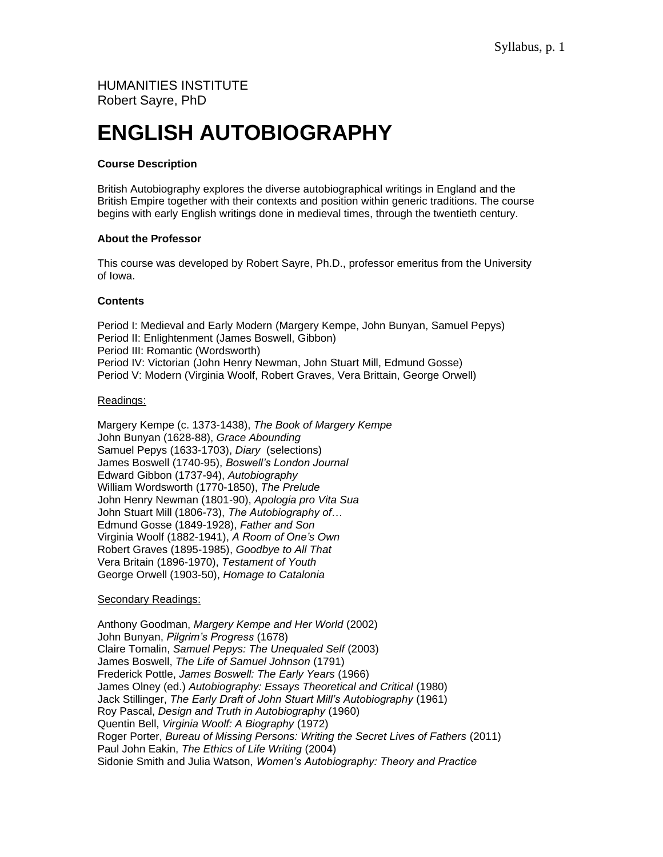# HUMANITIES INSTITUTE Robert Sayre, PhD

# **ENGLISH AUTOBIOGRAPHY**

# **Course Description**

British Autobiography explores the diverse autobiographical writings in England and the British Empire together with their contexts and position within generic traditions. The course begins with early English writings done in medieval times, through the twentieth century.

# **About the Professor**

This course was developed by Robert Sayre, Ph.D., professor emeritus from the University of Iowa.

# **Contents**

Period I: Medieval and Early Modern (Margery Kempe, John Bunyan, Samuel Pepys) Period II: Enlightenment (James Boswell, Gibbon) Period III: Romantic (Wordsworth) Period IV: Victorian (John Henry Newman, John Stuart Mill, Edmund Gosse) Period V: Modern (Virginia Woolf, Robert Graves, Vera Brittain, George Orwell)

# Readings:

Margery Kempe (c. 1373-1438), *The Book of Margery Kempe* John Bunyan (1628-88), *Grace Abounding* Samuel Pepys (1633-1703), *Diary* (selections) James Boswell (1740-95), *Boswell's London Journal* Edward Gibbon (1737-94), *Autobiography* William Wordsworth (1770-1850), *The Prelude* John Henry Newman (1801-90), *Apologia pro Vita Sua* John Stuart Mill (1806-73), *The Autobiography of…* Edmund Gosse (1849-1928), *Father and Son* Virginia Woolf (1882-1941), *A Room of One's Own* Robert Graves (1895-1985), *Goodbye to All That* Vera Britain (1896-1970), *Testament of Youth* George Orwell (1903-50), *Homage to Catalonia*

# Secondary Readings:

Anthony Goodman, *Margery Kempe and Her World* (2002) John Bunyan, *Pilgrim's Progress* (1678) Claire Tomalin, *Samuel Pepys: The Unequaled Self* (2003) James Boswell, *The Life of Samuel Johnson* (1791) Frederick Pottle, *James Boswell: The Early Years* (1966) James Olney (ed.) *Autobiography: Essays Theoretical and Critical* (1980) Jack Stillinger, *The Early Draft of John Stuart Mill's Autobiography* (1961) Roy Pascal, *Design and Truth in Autobiography* (1960) Quentin Bell, *Virginia Woolf: A Biography* (1972) Roger Porter, *Bureau of Missing Persons: Writing the Secret Lives of Fathers* (2011) Paul John Eakin, *The Ethics of Life Writing* (2004) Sidonie Smith and Julia Watson, *Women's Autobiography: Theory and Practice*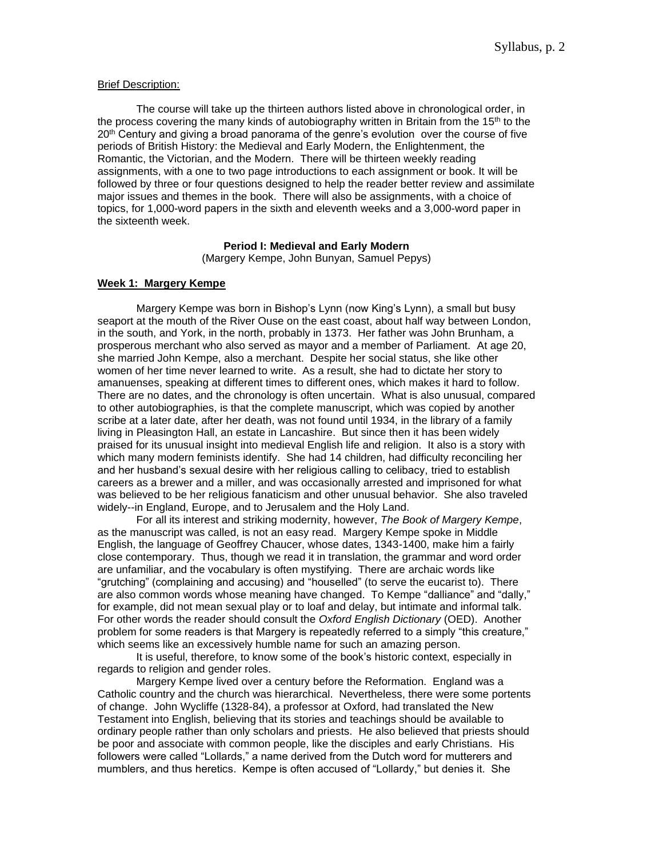#### Brief Description:

The course will take up the thirteen authors listed above in chronological order, in the process covering the many kinds of autobiography written in Britain from the 15<sup>th</sup> to the  $20<sup>th</sup>$  Century and giving a broad panorama of the genre's evolution over the course of five periods of British History: the Medieval and Early Modern, the Enlightenment, the Romantic, the Victorian, and the Modern. There will be thirteen weekly reading assignments, with a one to two page introductions to each assignment or book. It will be followed by three or four questions designed to help the reader better review and assimilate major issues and themes in the book. There will also be assignments, with a choice of topics, for 1,000-word papers in the sixth and eleventh weeks and a 3,000-word paper in the sixteenth week.

# **Period I: Medieval and Early Modern**

(Margery Kempe, John Bunyan, Samuel Pepys)

# **Week 1: Margery Kempe**

Margery Kempe was born in Bishop's Lynn (now King's Lynn), a small but busy seaport at the mouth of the River Ouse on the east coast, about half way between London, in the south, and York, in the north, probably in 1373. Her father was John Brunham, a prosperous merchant who also served as mayor and a member of Parliament. At age 20, she married John Kempe, also a merchant. Despite her social status, she like other women of her time never learned to write. As a result, she had to dictate her story to amanuenses, speaking at different times to different ones, which makes it hard to follow. There are no dates, and the chronology is often uncertain. What is also unusual, compared to other autobiographies, is that the complete manuscript, which was copied by another scribe at a later date, after her death, was not found until 1934, in the library of a family living in Pleasington Hall, an estate in Lancashire. But since then it has been widely praised for its unusual insight into medieval English life and religion. It also is a story with which many modern feminists identify. She had 14 children, had difficulty reconciling her and her husband's sexual desire with her religious calling to celibacy, tried to establish careers as a brewer and a miller, and was occasionally arrested and imprisoned for what was believed to be her religious fanaticism and other unusual behavior. She also traveled widely--in England, Europe, and to Jerusalem and the Holy Land.

For all its interest and striking modernity, however, *The Book of Margery Kempe*, as the manuscript was called, is not an easy read. Margery Kempe spoke in Middle English, the language of Geoffrey Chaucer, whose dates, 1343-1400, make him a fairly close contemporary. Thus, though we read it in translation, the grammar and word order are unfamiliar, and the vocabulary is often mystifying. There are archaic words like "grutching" (complaining and accusing) and "houselled" (to serve the eucarist to). There are also common words whose meaning have changed. To Kempe "dalliance" and "dally," for example, did not mean sexual play or to loaf and delay, but intimate and informal talk. For other words the reader should consult the *Oxford English Dictionary* (OED). Another problem for some readers is that Margery is repeatedly referred to a simply "this creature," which seems like an excessively humble name for such an amazing person.

It is useful, therefore, to know some of the book's historic context, especially in regards to religion and gender roles.

Margery Kempe lived over a century before the Reformation. England was a Catholic country and the church was hierarchical. Nevertheless, there were some portents of change. John Wycliffe (1328-84), a professor at Oxford, had translated the New Testament into English, believing that its stories and teachings should be available to ordinary people rather than only scholars and priests. He also believed that priests should be poor and associate with common people, like the disciples and early Christians. His followers were called "Lollards," a name derived from the Dutch word for mutterers and mumblers, and thus heretics. Kempe is often accused of "Lollardy," but denies it. She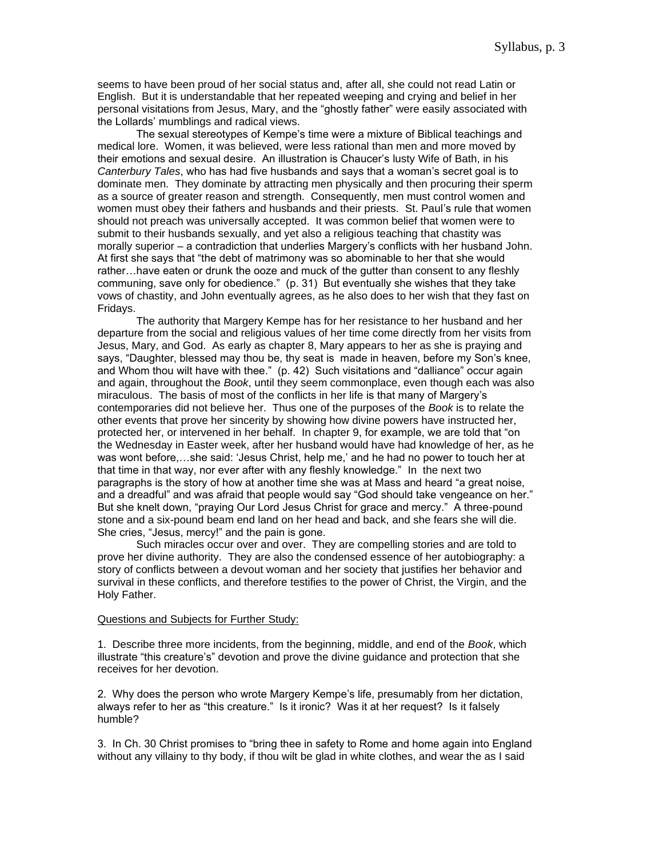seems to have been proud of her social status and, after all, she could not read Latin or English. But it is understandable that her repeated weeping and crying and belief in her personal visitations from Jesus, Mary, and the "ghostly father" were easily associated with the Lollards' mumblings and radical views.

The sexual stereotypes of Kempe's time were a mixture of Biblical teachings and medical lore. Women, it was believed, were less rational than men and more moved by their emotions and sexual desire. An illustration is Chaucer's lusty Wife of Bath, in his *Canterbury Tales*, who has had five husbands and says that a woman's secret goal is to dominate men. They dominate by attracting men physically and then procuring their sperm as a source of greater reason and strength. Consequently, men must control women and women must obey their fathers and husbands and their priests. St. Paul's rule that women should not preach was universally accepted. It was common belief that women were to submit to their husbands sexually, and yet also a religious teaching that chastity was morally superior – a contradiction that underlies Margery's conflicts with her husband John. At first she says that "the debt of matrimony was so abominable to her that she would rather…have eaten or drunk the ooze and muck of the gutter than consent to any fleshly communing, save only for obedience." (p. 31) But eventually she wishes that they take vows of chastity, and John eventually agrees, as he also does to her wish that they fast on Fridays.

The authority that Margery Kempe has for her resistance to her husband and her departure from the social and religious values of her time come directly from her visits from Jesus, Mary, and God. As early as chapter 8, Mary appears to her as she is praying and says, "Daughter, blessed may thou be, thy seat is made in heaven, before my Son's knee, and Whom thou wilt have with thee." (p. 42) Such visitations and "dalliance" occur again and again, throughout the *Book*, until they seem commonplace, even though each was also miraculous. The basis of most of the conflicts in her life is that many of Margery's contemporaries did not believe her. Thus one of the purposes of the *Book* is to relate the other events that prove her sincerity by showing how divine powers have instructed her, protected her, or intervened in her behalf. In chapter 9, for example, we are told that "on the Wednesday in Easter week, after her husband would have had knowledge of her, as he was wont before,…she said: 'Jesus Christ, help me,' and he had no power to touch her at that time in that way, nor ever after with any fleshly knowledge." In the next two paragraphs is the story of how at another time she was at Mass and heard "a great noise, and a dreadful" and was afraid that people would say "God should take vengeance on her." But she knelt down, "praying Our Lord Jesus Christ for grace and mercy." A three-pound stone and a six-pound beam end land on her head and back, and she fears she will die. She cries, "Jesus, mercy!" and the pain is gone.

Such miracles occur over and over. They are compelling stories and are told to prove her divine authority. They are also the condensed essence of her autobiography: a story of conflicts between a devout woman and her society that justifies her behavior and survival in these conflicts, and therefore testifies to the power of Christ, the Virgin, and the Holy Father.

#### Questions and Subjects for Further Study:

1. Describe three more incidents, from the beginning, middle, and end of the *Book*, which illustrate "this creature's" devotion and prove the divine guidance and protection that she receives for her devotion.

2. Why does the person who wrote Margery Kempe's life, presumably from her dictation, always refer to her as "this creature." Is it ironic? Was it at her request? Is it falsely humble?

3. In Ch. 30 Christ promises to "bring thee in safety to Rome and home again into England without any villainy to thy body, if thou wilt be glad in white clothes, and wear the as I said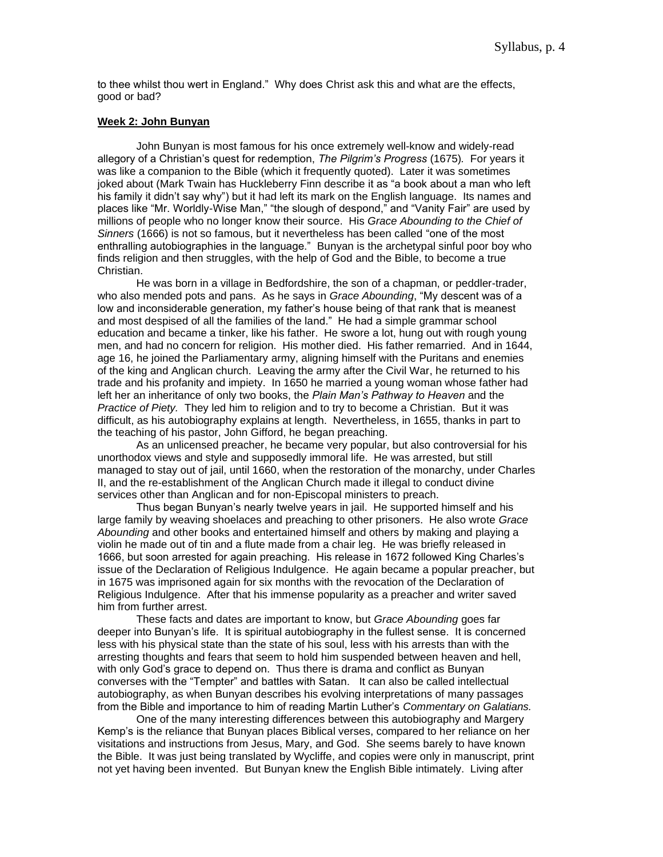to thee whilst thou wert in England." Why does Christ ask this and what are the effects, good or bad?

# **Week 2: John Bunyan**

John Bunyan is most famous for his once extremely well-know and widely-read allegory of a Christian's quest for redemption, *The Pilgrim's Progress* (1675)*.* For years it was like a companion to the Bible (which it frequently quoted). Later it was sometimes joked about (Mark Twain has Huckleberry Finn describe it as "a book about a man who left his family it didn't say why") but it had left its mark on the English language. Its names and places like "Mr. Worldly-Wise Man," "the slough of despond," and "Vanity Fair" are used by millions of people who no longer know their source. His *Grace Abounding to the Chief of Sinners* (1666) is not so famous, but it nevertheless has been called "one of the most enthralling autobiographies in the language." Bunyan is the archetypal sinful poor boy who finds religion and then struggles, with the help of God and the Bible, to become a true Christian.

He was born in a village in Bedfordshire, the son of a chapman, or peddler-trader, who also mended pots and pans. As he says in *Grace Abounding*, "My descent was of a low and inconsiderable generation, my father's house being of that rank that is meanest and most despised of all the families of the land." He had a simple grammar school education and became a tinker, like his father. He swore a lot, hung out with rough young men, and had no concern for religion. His mother died. His father remarried. And in 1644, age 16, he joined the Parliamentary army, aligning himself with the Puritans and enemies of the king and Anglican church. Leaving the army after the Civil War, he returned to his trade and his profanity and impiety. In 1650 he married a young woman whose father had left her an inheritance of only two books, the *Plain Man's Pathway to Heaven* and the *Practice of Piety.* They led him to religion and to try to become a Christian. But it was difficult, as his autobiography explains at length. Nevertheless, in 1655, thanks in part to the teaching of his pastor, John Gifford, he began preaching.

As an unlicensed preacher, he became very popular, but also controversial for his unorthodox views and style and supposedly immoral life. He was arrested, but still managed to stay out of jail, until 1660, when the restoration of the monarchy, under Charles II, and the re-establishment of the Anglican Church made it illegal to conduct divine services other than Anglican and for non-Episcopal ministers to preach.

Thus began Bunyan's nearly twelve years in jail. He supported himself and his large family by weaving shoelaces and preaching to other prisoners. He also wrote *Grace Abounding* and other books and entertained himself and others by making and playing a violin he made out of tin and a flute made from a chair leg. He was briefly released in 1666, but soon arrested for again preaching. His release in 1672 followed King Charles's issue of the Declaration of Religious Indulgence. He again became a popular preacher, but in 1675 was imprisoned again for six months with the revocation of the Declaration of Religious Indulgence. After that his immense popularity as a preacher and writer saved him from further arrest.

These facts and dates are important to know, but *Grace Abounding* goes far deeper into Bunyan's life. It is spiritual autobiography in the fullest sense. It is concerned less with his physical state than the state of his soul, less with his arrests than with the arresting thoughts and fears that seem to hold him suspended between heaven and hell, with only God's grace to depend on. Thus there is drama and conflict as Bunyan converses with the "Tempter" and battles with Satan. It can also be called intellectual autobiography, as when Bunyan describes his evolving interpretations of many passages from the Bible and importance to him of reading Martin Luther's *Commentary on Galatians.* 

One of the many interesting differences between this autobiography and Margery Kemp's is the reliance that Bunyan places Biblical verses, compared to her reliance on her visitations and instructions from Jesus, Mary, and God. She seems barely to have known the Bible. It was just being translated by Wycliffe, and copies were only in manuscript, print not yet having been invented. But Bunyan knew the English Bible intimately. Living after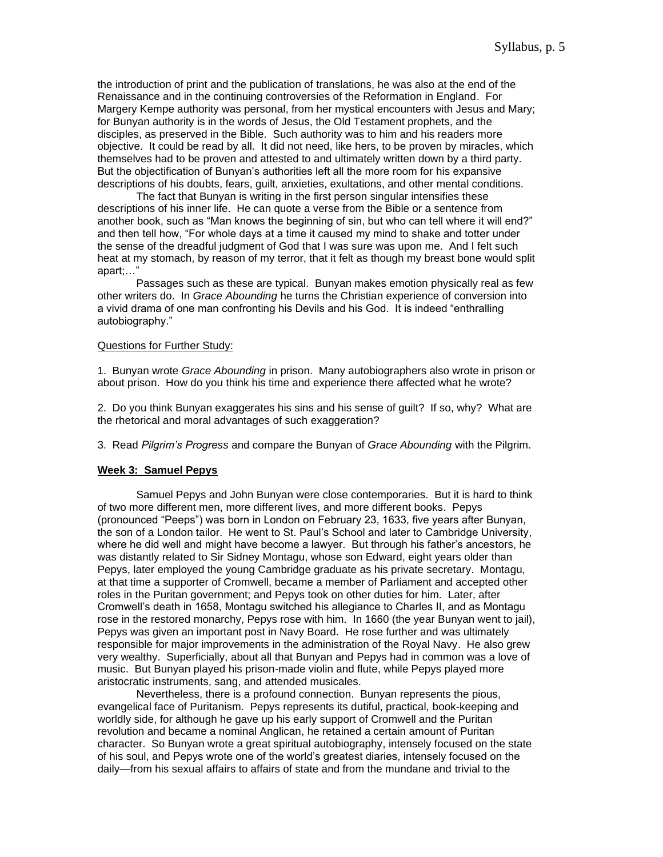the introduction of print and the publication of translations, he was also at the end of the Renaissance and in the continuing controversies of the Reformation in England. For Margery Kempe authority was personal, from her mystical encounters with Jesus and Mary; for Bunyan authority is in the words of Jesus, the Old Testament prophets, and the disciples, as preserved in the Bible. Such authority was to him and his readers more objective. It could be read by all. It did not need, like hers, to be proven by miracles, which themselves had to be proven and attested to and ultimately written down by a third party. But the objectification of Bunyan's authorities left all the more room for his expansive descriptions of his doubts, fears, guilt, anxieties, exultations, and other mental conditions.

The fact that Bunyan is writing in the first person singular intensifies these descriptions of his inner life. He can quote a verse from the Bible or a sentence from another book, such as "Man knows the beginning of sin, but who can tell where it will end?" and then tell how, "For whole days at a time it caused my mind to shake and totter under the sense of the dreadful judgment of God that I was sure was upon me. And I felt such heat at my stomach, by reason of my terror, that it felt as though my breast bone would split apart;…"

Passages such as these are typical. Bunyan makes emotion physically real as few other writers do. In *Grace Abounding* he turns the Christian experience of conversion into a vivid drama of one man confronting his Devils and his God. It is indeed "enthralling autobiography."

#### Questions for Further Study:

1. Bunyan wrote *Grace Abounding* in prison. Many autobiographers also wrote in prison or about prison. How do you think his time and experience there affected what he wrote?

2. Do you think Bunyan exaggerates his sins and his sense of guilt? If so, why? What are the rhetorical and moral advantages of such exaggeration?

3. Read *Pilgrim's Progress* and compare the Bunyan of *Grace Abounding* with the Pilgrim.

# **Week 3: Samuel Pepys**

Samuel Pepys and John Bunyan were close contemporaries. But it is hard to think of two more different men, more different lives, and more different books. Pepys (pronounced "Peeps") was born in London on February 23, 1633, five years after Bunyan, the son of a London tailor. He went to St. Paul's School and later to Cambridge University, where he did well and might have become a lawyer. But through his father's ancestors, he was distantly related to Sir Sidney Montagu, whose son Edward, eight years older than Pepys, later employed the young Cambridge graduate as his private secretary. Montagu, at that time a supporter of Cromwell, became a member of Parliament and accepted other roles in the Puritan government; and Pepys took on other duties for him. Later, after Cromwell's death in 1658, Montagu switched his allegiance to Charles II, and as Montagu rose in the restored monarchy, Pepys rose with him. In 1660 (the year Bunyan went to jail), Pepys was given an important post in Navy Board. He rose further and was ultimately responsible for major improvements in the administration of the Royal Navy. He also grew very wealthy. Superficially, about all that Bunyan and Pepys had in common was a love of music. But Bunyan played his prison-made violin and flute, while Pepys played more aristocratic instruments, sang, and attended musicales.

Nevertheless, there is a profound connection. Bunyan represents the pious, evangelical face of Puritanism. Pepys represents its dutiful, practical, book-keeping and worldly side, for although he gave up his early support of Cromwell and the Puritan revolution and became a nominal Anglican, he retained a certain amount of Puritan character. So Bunyan wrote a great spiritual autobiography, intensely focused on the state of his soul, and Pepys wrote one of the world's greatest diaries, intensely focused on the daily—from his sexual affairs to affairs of state and from the mundane and trivial to the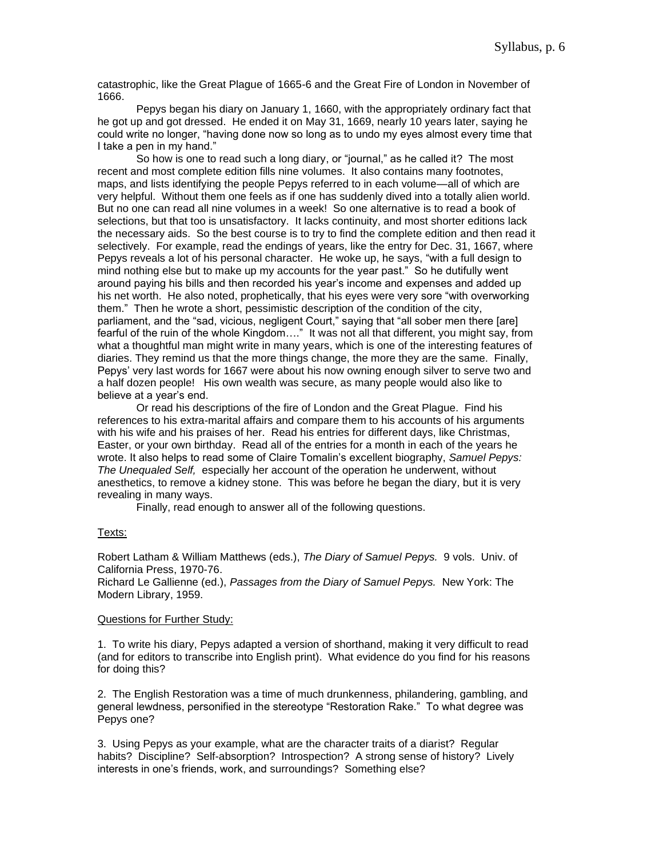catastrophic, like the Great Plague of 1665-6 and the Great Fire of London in November of 1666.

Pepys began his diary on January 1, 1660, with the appropriately ordinary fact that he got up and got dressed. He ended it on May 31, 1669, nearly 10 years later, saying he could write no longer, "having done now so long as to undo my eyes almost every time that I take a pen in my hand."

So how is one to read such a long diary, or "journal," as he called it? The most recent and most complete edition fills nine volumes. It also contains many footnotes, maps, and lists identifying the people Pepys referred to in each volume—all of which are very helpful. Without them one feels as if one has suddenly dived into a totally alien world. But no one can read all nine volumes in a week! So one alternative is to read a book of selections, but that too is unsatisfactory. It lacks continuity, and most shorter editions lack the necessary aids. So the best course is to try to find the complete edition and then read it selectively. For example, read the endings of years, like the entry for Dec. 31, 1667, where Pepys reveals a lot of his personal character. He woke up, he says, "with a full design to mind nothing else but to make up my accounts for the year past." So he dutifully went around paying his bills and then recorded his year's income and expenses and added up his net worth. He also noted, prophetically, that his eyes were very sore "with overworking them." Then he wrote a short, pessimistic description of the condition of the city, parliament, and the "sad, vicious, negligent Court," saying that "all sober men there [are] fearful of the ruin of the whole Kingdom…." It was not all that different, you might say, from what a thoughtful man might write in many years, which is one of the interesting features of diaries. They remind us that the more things change, the more they are the same. Finally, Pepys' very last words for 1667 were about his now owning enough silver to serve two and a half dozen people! His own wealth was secure, as many people would also like to believe at a year's end.

Or read his descriptions of the fire of London and the Great Plague. Find his references to his extra-marital affairs and compare them to his accounts of his arguments with his wife and his praises of her. Read his entries for different days, like Christmas, Easter, or your own birthday. Read all of the entries for a month in each of the years he wrote. It also helps to read some of Claire Tomalin's excellent biography, *Samuel Pepys: The Unequaled Self,* especially her account of the operation he underwent, without anesthetics, to remove a kidney stone. This was before he began the diary, but it is very revealing in many ways.

Finally, read enough to answer all of the following questions.

#### Texts:

Robert Latham & William Matthews (eds.), *The Diary of Samuel Pepys.* 9 vols. Univ. of California Press, 1970-76.

Richard Le Gallienne (ed.), *Passages from the Diary of Samuel Pepys.* New York: The Modern Library, 1959.

#### Questions for Further Study:

1. To write his diary, Pepys adapted a version of shorthand, making it very difficult to read (and for editors to transcribe into English print). What evidence do you find for his reasons for doing this?

2. The English Restoration was a time of much drunkenness, philandering, gambling, and general lewdness, personified in the stereotype "Restoration Rake." To what degree was Pepys one?

3. Using Pepys as your example, what are the character traits of a diarist? Regular habits? Discipline? Self-absorption? Introspection? A strong sense of history? Lively interests in one's friends, work, and surroundings? Something else?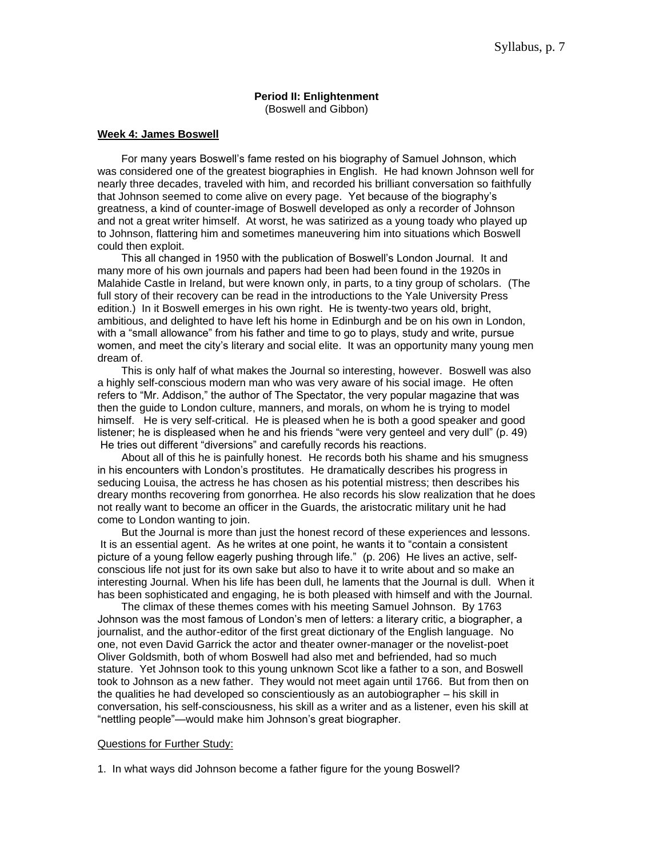# **Period II: Enlightenment**

(Boswell and Gibbon)

#### **Week 4: James Boswell**

 For many years Boswell's fame rested on his biography of Samuel Johnson, which was considered one of the greatest biographies in English. He had known Johnson well for nearly three decades, traveled with him, and recorded his brilliant conversation so faithfully that Johnson seemed to come alive on every page. Yet because of the biography's greatness, a kind of counter-image of Boswell developed as only a recorder of Johnson and not a great writer himself. At worst, he was satirized as a young toady who played up to Johnson, flattering him and sometimes maneuvering him into situations which Boswell could then exploit.

 This all changed in 1950 with the publication of Boswell's London Journal. It and many more of his own journals and papers had been had been found in the 1920s in Malahide Castle in Ireland, but were known only, in parts, to a tiny group of scholars. (The full story of their recovery can be read in the introductions to the Yale University Press edition.) In it Boswell emerges in his own right. He is twenty-two years old, bright, ambitious, and delighted to have left his home in Edinburgh and be on his own in London, with a "small allowance" from his father and time to go to plays, study and write, pursue women, and meet the city's literary and social elite. It was an opportunity many young men dream of.

 This is only half of what makes the Journal so interesting, however. Boswell was also a highly self-conscious modern man who was very aware of his social image. He often refers to "Mr. Addison," the author of The Spectator, the very popular magazine that was then the guide to London culture, manners, and morals, on whom he is trying to model himself. He is very self-critical. He is pleased when he is both a good speaker and good listener; he is displeased when he and his friends "were very genteel and very dull" (p. 49) He tries out different "diversions" and carefully records his reactions.

 About all of this he is painfully honest. He records both his shame and his smugness in his encounters with London's prostitutes. He dramatically describes his progress in seducing Louisa, the actress he has chosen as his potential mistress; then describes his dreary months recovering from gonorrhea. He also records his slow realization that he does not really want to become an officer in the Guards, the aristocratic military unit he had come to London wanting to join.

 But the Journal is more than just the honest record of these experiences and lessons. It is an essential agent. As he writes at one point, he wants it to "contain a consistent picture of a young fellow eagerly pushing through life." (p. 206) He lives an active, selfconscious life not just for its own sake but also to have it to write about and so make an interesting Journal. When his life has been dull, he laments that the Journal is dull. When it has been sophisticated and engaging, he is both pleased with himself and with the Journal.

 The climax of these themes comes with his meeting Samuel Johnson. By 1763 Johnson was the most famous of London's men of letters: a literary critic, a biographer, a journalist, and the author-editor of the first great dictionary of the English language. No one, not even David Garrick the actor and theater owner-manager or the novelist-poet Oliver Goldsmith, both of whom Boswell had also met and befriended, had so much stature. Yet Johnson took to this young unknown Scot like a father to a son, and Boswell took to Johnson as a new father. They would not meet again until 1766. But from then on the qualities he had developed so conscientiously as an autobiographer – his skill in conversation, his self-consciousness, his skill as a writer and as a listener, even his skill at "nettling people"—would make him Johnson's great biographer.

#### Questions for Further Study:

1. In what ways did Johnson become a father figure for the young Boswell?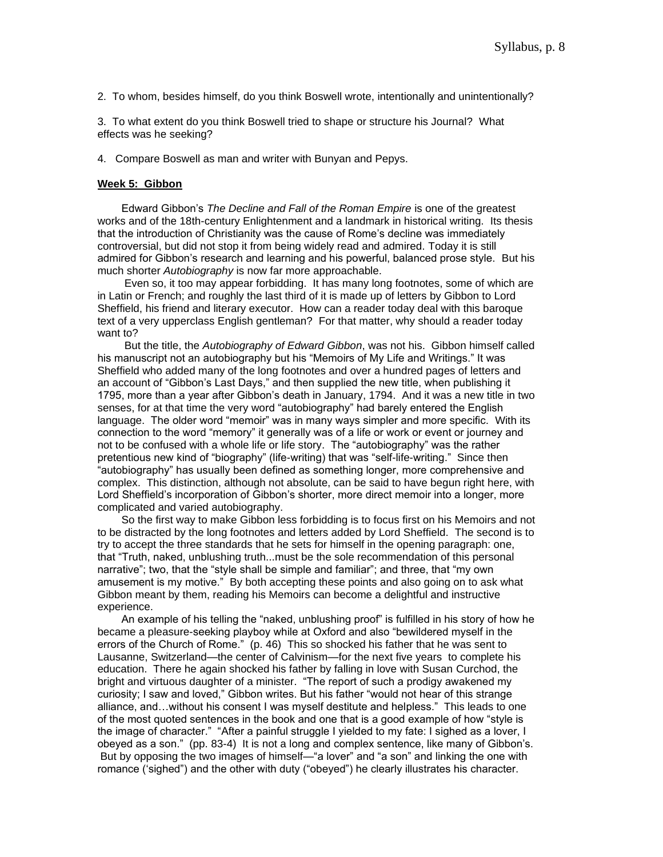2. To whom, besides himself, do you think Boswell wrote, intentionally and unintentionally?

3. To what extent do you think Boswell tried to shape or structure his Journal? What effects was he seeking?

4. Compare Boswell as man and writer with Bunyan and Pepys.

# **Week 5: Gibbon**

 Edward Gibbon's *The Decline and Fall of the Roman Empire* is one of the greatest works and of the 18th-century Enlightenment and a landmark in historical writing. Its thesis that the introduction of Christianity was the cause of Rome's decline was immediately controversial, but did not stop it from being widely read and admired. Today it is still admired for Gibbon's research and learning and his powerful, balanced prose style. But his much shorter *Autobiography* is now far more approachable.

 Even so, it too may appear forbidding. It has many long footnotes, some of which are in Latin or French; and roughly the last third of it is made up of letters by Gibbon to Lord Sheffield, his friend and literary executor. How can a reader today deal with this baroque text of a very upperclass English gentleman? For that matter, why should a reader today want to?

 But the title, the *Autobiography of Edward Gibbon*, was not his. Gibbon himself called his manuscript not an autobiography but his "Memoirs of My Life and Writings." It was Sheffield who added many of the long footnotes and over a hundred pages of letters and an account of "Gibbon's Last Days," and then supplied the new title, when publishing it 1795, more than a year after Gibbon's death in January, 1794. And it was a new title in two senses, for at that time the very word "autobiography" had barely entered the English language. The older word "memoir" was in many ways simpler and more specific. With its connection to the word "memory" it generally was of a life or work or event or journey and not to be confused with a whole life or life story. The "autobiography" was the rather pretentious new kind of "biography" (life-writing) that was "self-life-writing." Since then "autobiography" has usually been defined as something longer, more comprehensive and complex. This distinction, although not absolute, can be said to have begun right here, with Lord Sheffield's incorporation of Gibbon's shorter, more direct memoir into a longer, more complicated and varied autobiography.

 So the first way to make Gibbon less forbidding is to focus first on his Memoirs and not to be distracted by the long footnotes and letters added by Lord Sheffield. The second is to try to accept the three standards that he sets for himself in the opening paragraph: one, that "Truth, naked, unblushing truth...must be the sole recommendation of this personal narrative"; two, that the "style shall be simple and familiar"; and three, that "my own amusement is my motive." By both accepting these points and also going on to ask what Gibbon meant by them, reading his Memoirs can become a delightful and instructive experience.

 An example of his telling the "naked, unblushing proof" is fulfilled in his story of how he became a pleasure-seeking playboy while at Oxford and also "bewildered myself in the errors of the Church of Rome." (p. 46) This so shocked his father that he was sent to Lausanne, Switzerland—the center of Calvinism—for the next five years to complete his education. There he again shocked his father by falling in love with Susan Curchod, the bright and virtuous daughter of a minister. "The report of such a prodigy awakened my curiosity; I saw and loved," Gibbon writes. But his father "would not hear of this strange alliance, and…without his consent I was myself destitute and helpless." This leads to one of the most quoted sentences in the book and one that is a good example of how "style is the image of character." "After a painful struggle I yielded to my fate: I sighed as a lover, I obeyed as a son." (pp. 83-4) It is not a long and complex sentence, like many of Gibbon's. But by opposing the two images of himself—"a lover" and "a son" and linking the one with romance ('sighed") and the other with duty ("obeyed") he clearly illustrates his character.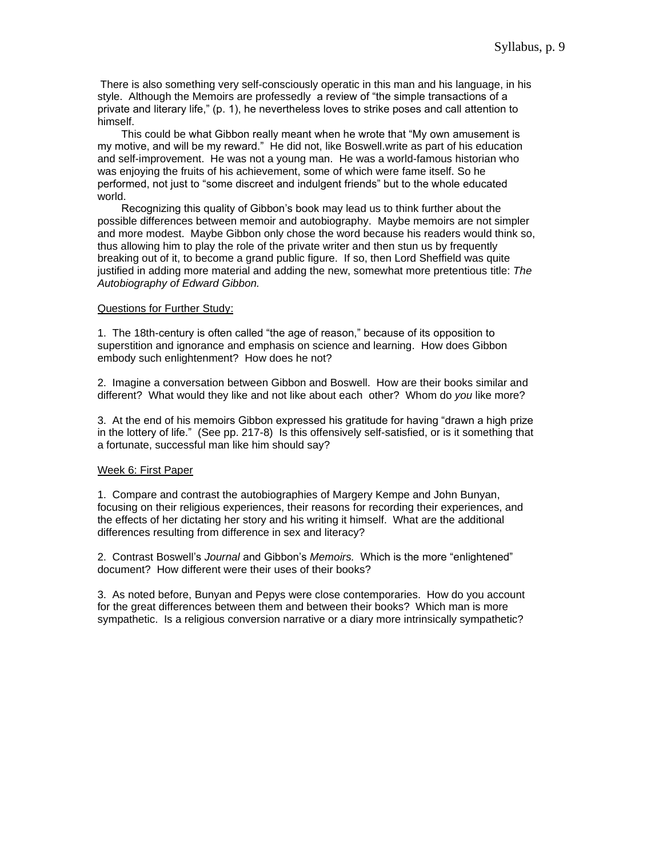There is also something very self-consciously operatic in this man and his language, in his style. Although the Memoirs are professedly a review of "the simple transactions of a private and literary life," (p. 1), he nevertheless loves to strike poses and call attention to himself.

 This could be what Gibbon really meant when he wrote that "My own amusement is my motive, and will be my reward." He did not, like Boswell.write as part of his education and self-improvement. He was not a young man. He was a world-famous historian who was enjoying the fruits of his achievement, some of which were fame itself. So he performed, not just to "some discreet and indulgent friends" but to the whole educated world.

 Recognizing this quality of Gibbon's book may lead us to think further about the possible differences between memoir and autobiography. Maybe memoirs are not simpler and more modest. Maybe Gibbon only chose the word because his readers would think so, thus allowing him to play the role of the private writer and then stun us by frequently breaking out of it, to become a grand public figure. If so, then Lord Sheffield was quite justified in adding more material and adding the new, somewhat more pretentious title: *The Autobiography of Edward Gibbon.*

# Questions for Further Study:

1. The 18th-century is often called "the age of reason," because of its opposition to superstition and ignorance and emphasis on science and learning. How does Gibbon embody such enlightenment? How does he not?

2. Imagine a conversation between Gibbon and Boswell. How are their books similar and different? What would they like and not like about each other? Whom do *you* like more?

3. At the end of his memoirs Gibbon expressed his gratitude for having "drawn a high prize in the lottery of life." (See pp. 217-8) Is this offensively self-satisfied, or is it something that a fortunate, successful man like him should say?

# Week 6: First Paper

1. Compare and contrast the autobiographies of Margery Kempe and John Bunyan, focusing on their religious experiences, their reasons for recording their experiences, and the effects of her dictating her story and his writing it himself. What are the additional differences resulting from difference in sex and literacy?

2. Contrast Boswell's *Journal* and Gibbon's *Memoirs.* Which is the more "enlightened" document? How different were their uses of their books?

3. As noted before, Bunyan and Pepys were close contemporaries. How do you account for the great differences between them and between their books? Which man is more sympathetic. Is a religious conversion narrative or a diary more intrinsically sympathetic?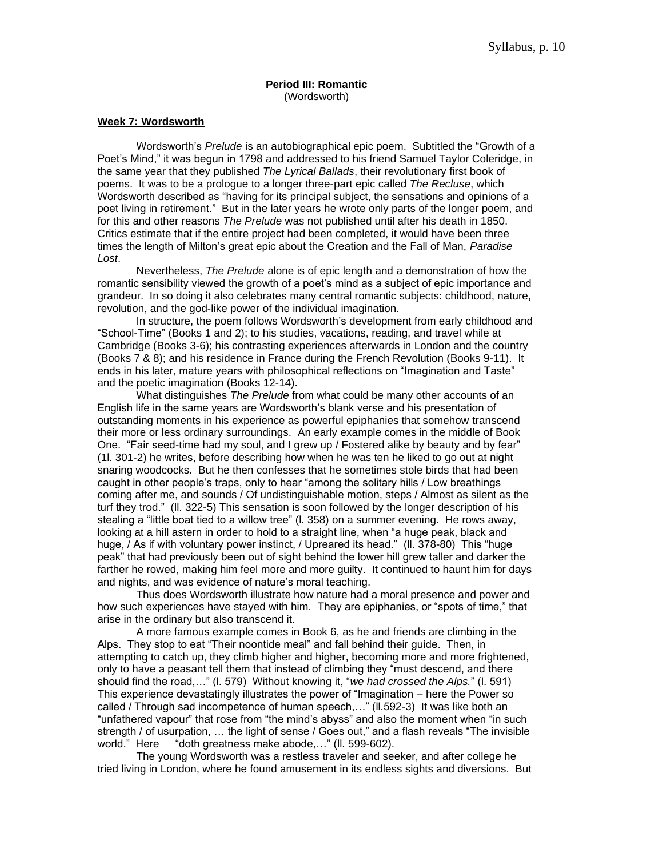## **Period III: Romantic** (Wordsworth)

#### **Week 7: Wordsworth**

Wordsworth's *Prelude* is an autobiographical epic poem. Subtitled the "Growth of a Poet's Mind," it was begun in 1798 and addressed to his friend Samuel Taylor Coleridge, in the same year that they published *The Lyrical Ballads*, their revolutionary first book of poems. It was to be a prologue to a longer three-part epic called *The Recluse*, which Wordsworth described as "having for its principal subject, the sensations and opinions of a poet living in retirement." But in the later years he wrote only parts of the longer poem, and for this and other reasons *The Prelude* was not published until after his death in 1850. Critics estimate that if the entire project had been completed, it would have been three times the length of Milton's great epic about the Creation and the Fall of Man, *Paradise Lost*.

Nevertheless, *The Prelude* alone is of epic length and a demonstration of how the romantic sensibility viewed the growth of a poet's mind as a subject of epic importance and grandeur. In so doing it also celebrates many central romantic subjects: childhood, nature, revolution, and the god-like power of the individual imagination.

In structure, the poem follows Wordsworth's development from early childhood and "School-Time" (Books 1 and 2); to his studies, vacations, reading, and travel while at Cambridge (Books 3-6); his contrasting experiences afterwards in London and the country (Books 7 & 8); and his residence in France during the French Revolution (Books 9-11). It ends in his later, mature years with philosophical reflections on "Imagination and Taste" and the poetic imagination (Books 12-14).

What distinguishes *The Prelude* from what could be many other accounts of an English life in the same years are Wordsworth's blank verse and his presentation of outstanding moments in his experience as powerful epiphanies that somehow transcend their more or less ordinary surroundings. An early example comes in the middle of Book One. "Fair seed-time had my soul, and I grew up / Fostered alike by beauty and by fear" (1l. 301-2) he writes, before describing how when he was ten he liked to go out at night snaring woodcocks. But he then confesses that he sometimes stole birds that had been caught in other people's traps, only to hear "among the solitary hills / Low breathings coming after me, and sounds / Of undistinguishable motion, steps / Almost as silent as the turf they trod." (ll. 322-5) This sensation is soon followed by the longer description of his stealing a "little boat tied to a willow tree" (l. 358) on a summer evening. He rows away, looking at a hill astern in order to hold to a straight line, when "a huge peak, black and huge, / As if with voluntary power instinct, / Upreared its head." (ll. 378-80) This "huge peak" that had previously been out of sight behind the lower hill grew taller and darker the farther he rowed, making him feel more and more guilty. It continued to haunt him for days and nights, and was evidence of nature's moral teaching.

Thus does Wordsworth illustrate how nature had a moral presence and power and how such experiences have stayed with him. They are epiphanies, or "spots of time," that arise in the ordinary but also transcend it.

A more famous example comes in Book 6, as he and friends are climbing in the Alps. They stop to eat "Their noontide meal" and fall behind their guide. Then, in attempting to catch up, they climb higher and higher, becoming more and more frightened, only to have a peasant tell them that instead of climbing they "must descend, and there should find the road,…" (l. 579) Without knowing it, "*we had crossed the Alps.*" (l. 591) This experience devastatingly illustrates the power of "Imagination – here the Power so called / Through sad incompetence of human speech,…" (ll.592-3) It was like both an "unfathered vapour" that rose from "the mind's abyss" and also the moment when "in such strength / of usurpation, … the light of sense / Goes out," and a flash reveals "The invisible world." Here "doth greatness make abode,…" (ll. 599-602).

The young Wordsworth was a restless traveler and seeker, and after college he tried living in London, where he found amusement in its endless sights and diversions. But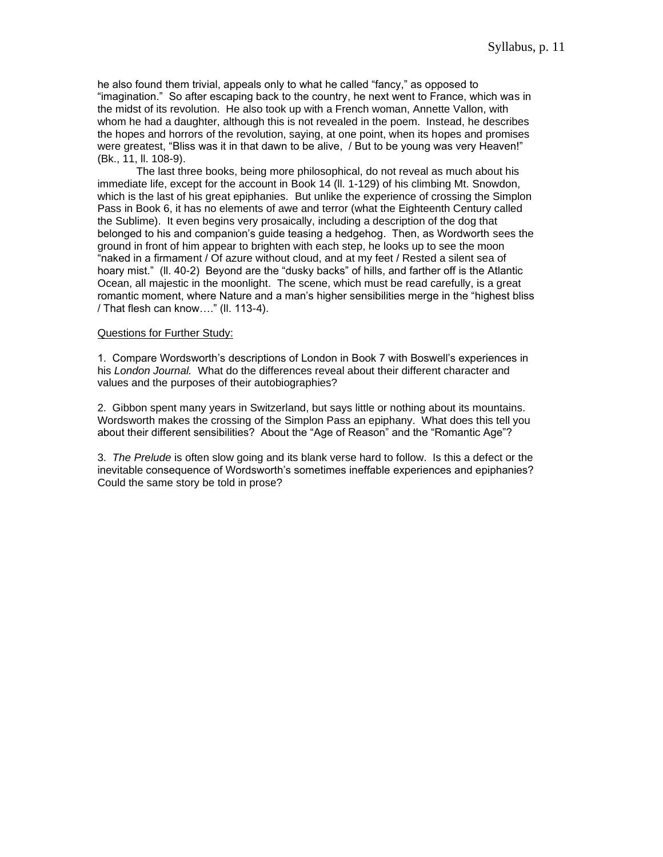he also found them trivial, appeals only to what he called "fancy," as opposed to "imagination." So after escaping back to the country, he next went to France, which was in the midst of its revolution. He also took up with a French woman, Annette Vallon, with whom he had a daughter, although this is not revealed in the poem. Instead, he describes the hopes and horrors of the revolution, saying, at one point, when its hopes and promises were greatest, "Bliss was it in that dawn to be alive, / But to be young was very Heaven!" (Bk., 11, ll. 108-9).

The last three books, being more philosophical, do not reveal as much about his immediate life, except for the account in Book 14 (ll. 1-129) of his climbing Mt. Snowdon, which is the last of his great epiphanies. But unlike the experience of crossing the Simplon Pass in Book 6, it has no elements of awe and terror (what the Eighteenth Century called the Sublime). It even begins very prosaically, including a description of the dog that belonged to his and companion's guide teasing a hedgehog. Then, as Wordworth sees the ground in front of him appear to brighten with each step, he looks up to see the moon "naked in a firmament / Of azure without cloud, and at my feet / Rested a silent sea of hoary mist." (ll. 40-2) Beyond are the "dusky backs" of hills, and farther off is the Atlantic Ocean, all majestic in the moonlight. The scene, which must be read carefully, is a great romantic moment, where Nature and a man's higher sensibilities merge in the "highest bliss / That flesh can know…." (ll. 113-4).

# Questions for Further Study:

1. Compare Wordsworth's descriptions of London in Book 7 with Boswell's experiences in his *London Journal.* What do the differences reveal about their different character and values and the purposes of their autobiographies?

2. Gibbon spent many years in Switzerland, but says little or nothing about its mountains. Wordsworth makes the crossing of the Simplon Pass an epiphany. What does this tell you about their different sensibilities? About the "Age of Reason" and the "Romantic Age"?

3. *The Prelude* is often slow going and its blank verse hard to follow. Is this a defect or the inevitable consequence of Wordsworth's sometimes ineffable experiences and epiphanies? Could the same story be told in prose?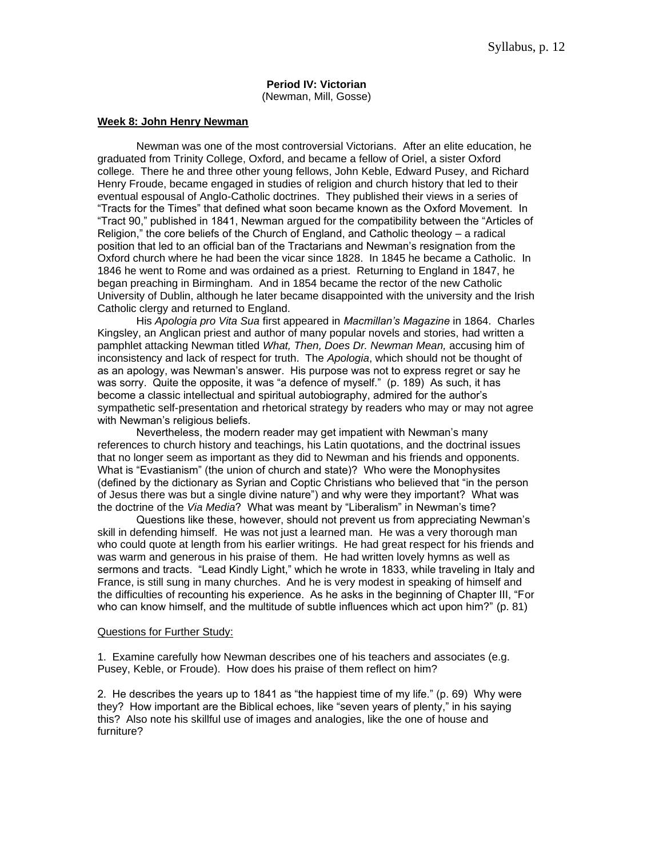#### **Period IV: Victorian** (Newman, Mill, Gosse)

#### **Week 8: John Henry Newman**

Newman was one of the most controversial Victorians. After an elite education, he graduated from Trinity College, Oxford, and became a fellow of Oriel, a sister Oxford college. There he and three other young fellows, John Keble, Edward Pusey, and Richard Henry Froude, became engaged in studies of religion and church history that led to their eventual espousal of Anglo-Catholic doctrines. They published their views in a series of "Tracts for the Times" that defined what soon became known as the Oxford Movement. In "Tract 90," published in 1841, Newman argued for the compatibility between the "Articles of Religion," the core beliefs of the Church of England, and Catholic theology – a radical position that led to an official ban of the Tractarians and Newman's resignation from the Oxford church where he had been the vicar since 1828. In 1845 he became a Catholic. In 1846 he went to Rome and was ordained as a priest. Returning to England in 1847, he began preaching in Birmingham. And in 1854 became the rector of the new Catholic University of Dublin, although he later became disappointed with the university and the Irish Catholic clergy and returned to England.

His *Apologia pro Vita Sua* first appeared in *Macmillan's Magazine* in 1864. Charles Kingsley, an Anglican priest and author of many popular novels and stories, had written a pamphlet attacking Newman titled *What, Then, Does Dr. Newman Mean,* accusing him of inconsistency and lack of respect for truth. The *Apologia*, which should not be thought of as an apology, was Newman's answer. His purpose was not to express regret or say he was sorry. Quite the opposite, it was "a defence of myself." (p. 189) As such, it has become a classic intellectual and spiritual autobiography, admired for the author's sympathetic self-presentation and rhetorical strategy by readers who may or may not agree with Newman's religious beliefs.

Nevertheless, the modern reader may get impatient with Newman's many references to church history and teachings, his Latin quotations, and the doctrinal issues that no longer seem as important as they did to Newman and his friends and opponents. What is "Evastianism" (the union of church and state)? Who were the Monophysites (defined by the dictionary as Syrian and Coptic Christians who believed that "in the person of Jesus there was but a single divine nature") and why were they important? What was the doctrine of the *Via Media*? What was meant by "Liberalism" in Newman's time?

Questions like these, however, should not prevent us from appreciating Newman's skill in defending himself. He was not just a learned man. He was a very thorough man who could quote at length from his earlier writings. He had great respect for his friends and was warm and generous in his praise of them. He had written lovely hymns as well as sermons and tracts. "Lead Kindly Light," which he wrote in 1833, while traveling in Italy and France, is still sung in many churches. And he is very modest in speaking of himself and the difficulties of recounting his experience. As he asks in the beginning of Chapter III, "For who can know himself, and the multitude of subtle influences which act upon him?" (p. 81)

#### Questions for Further Study:

1. Examine carefully how Newman describes one of his teachers and associates (e.g. Pusey, Keble, or Froude). How does his praise of them reflect on him?

2. He describes the years up to 1841 as "the happiest time of my life." (p. 69) Why were they? How important are the Biblical echoes, like "seven years of plenty," in his saying this? Also note his skillful use of images and analogies, like the one of house and furniture?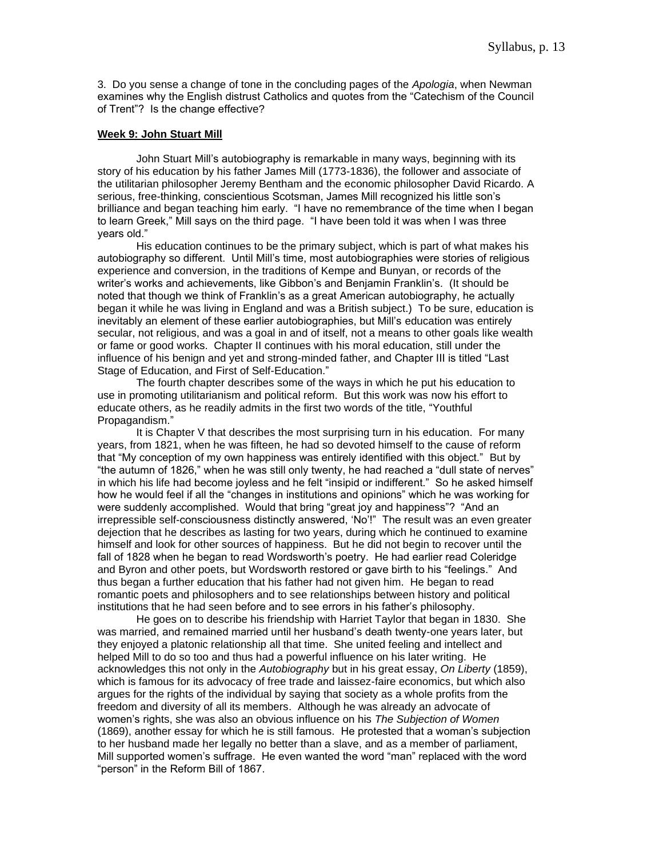3. Do you sense a change of tone in the concluding pages of the *Apologia*, when Newman examines why the English distrust Catholics and quotes from the "Catechism of the Council of Trent"? Is the change effective?

#### **Week 9: John Stuart Mill**

John Stuart Mill's autobiography is remarkable in many ways, beginning with its story of his education by his father James Mill (1773-1836), the follower and associate of the utilitarian philosopher Jeremy Bentham and the economic philosopher David Ricardo. A serious, free-thinking, conscientious Scotsman, James Mill recognized his little son's brilliance and began teaching him early. "I have no remembrance of the time when I began to learn Greek," Mill says on the third page. "I have been told it was when I was three years old."

His education continues to be the primary subject, which is part of what makes his autobiography so different. Until Mill's time, most autobiographies were stories of religious experience and conversion, in the traditions of Kempe and Bunyan, or records of the writer's works and achievements, like Gibbon's and Benjamin Franklin's. (It should be noted that though we think of Franklin's as a great American autobiography, he actually began it while he was living in England and was a British subject.) To be sure, education is inevitably an element of these earlier autobiographies, but Mill's education was entirely secular, not religious, and was a goal in and of itself, not a means to other goals like wealth or fame or good works. Chapter II continues with his moral education, still under the influence of his benign and yet and strong-minded father, and Chapter III is titled "Last Stage of Education, and First of Self-Education."

The fourth chapter describes some of the ways in which he put his education to use in promoting utilitarianism and political reform. But this work was now his effort to educate others, as he readily admits in the first two words of the title, "Youthful Propagandism."

It is Chapter V that describes the most surprising turn in his education. For many years, from 1821, when he was fifteen, he had so devoted himself to the cause of reform that "My conception of my own happiness was entirely identified with this object." But by "the autumn of 1826," when he was still only twenty, he had reached a "dull state of nerves" in which his life had become joyless and he felt "insipid or indifferent." So he asked himself how he would feel if all the "changes in institutions and opinions" which he was working for were suddenly accomplished. Would that bring "great joy and happiness"? "And an irrepressible self-consciousness distinctly answered, 'No'!" The result was an even greater dejection that he describes as lasting for two years, during which he continued to examine himself and look for other sources of happiness. But he did not begin to recover until the fall of 1828 when he began to read Wordsworth's poetry. He had earlier read Coleridge and Byron and other poets, but Wordsworth restored or gave birth to his "feelings." And thus began a further education that his father had not given him. He began to read romantic poets and philosophers and to see relationships between history and political institutions that he had seen before and to see errors in his father's philosophy.

He goes on to describe his friendship with Harriet Taylor that began in 1830. She was married, and remained married until her husband's death twenty-one years later, but they enjoyed a platonic relationship all that time. She united feeling and intellect and helped Mill to do so too and thus had a powerful influence on his later writing. He acknowledges this not only in the *Autobiography* but in his great essay, *On Liberty* (1859), which is famous for its advocacy of free trade and laissez-faire economics, but which also argues for the rights of the individual by saying that society as a whole profits from the freedom and diversity of all its members. Although he was already an advocate of women's rights, she was also an obvious influence on his *The Subjection of Women* (1869), another essay for which he is still famous. He protested that a woman's subjection to her husband made her legally no better than a slave, and as a member of parliament, Mill supported women's suffrage. He even wanted the word "man" replaced with the word "person" in the Reform Bill of 1867.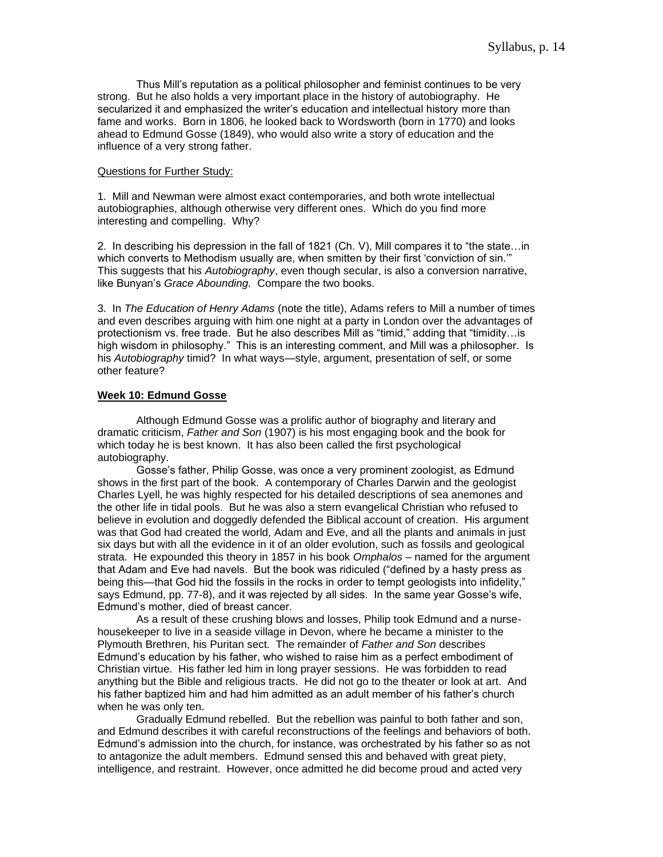Thus Mill's reputation as a political philosopher and feminist continues to be very strong. But he also holds a very important place in the history of autobiography. He secularized it and emphasized the writer's education and intellectual history more than fame and works. Born in 1806, he looked back to Wordsworth (born in 1770) and looks ahead to Edmund Gosse (1849), who would also write a story of education and the influence of a very strong father.

#### Questions for Further Study:

1. Mill and Newman were almost exact contemporaries, and both wrote intellectual autobiographies, although otherwise very different ones. Which do you find more interesting and compelling. Why?

2. In describing his depression in the fall of 1821 (Ch. V), Mill compares it to "the state…in which converts to Methodism usually are, when smitten by their first 'conviction of sin.'" This suggests that his *Autobiography*, even though secular, is also a conversion narrative, like Bunyan's *Grace Abounding.* Compare the two books.

3. In *The Education of Henry Adams* (note the title), Adams refers to Mill a number of times and even describes arguing with him one night at a party in London over the advantages of protectionism vs. free trade. But he also describes Mill as "timid," adding that "timidity…is high wisdom in philosophy." This is an interesting comment, and Mill was a philosopher. Is his *Autobiography* timid? In what ways—style, argument, presentation of self, or some other feature?

#### **Week 10: Edmund Gosse**

Although Edmund Gosse was a prolific author of biography and literary and dramatic criticism, *Father and Son* (1907) is his most engaging book and the book for which today he is best known. It has also been called the first psychological autobiography.

Gosse's father, Philip Gosse, was once a very prominent zoologist, as Edmund shows in the first part of the book. A contemporary of Charles Darwin and the geologist Charles Lyell, he was highly respected for his detailed descriptions of sea anemones and the other life in tidal pools. But he was also a stern evangelical Christian who refused to believe in evolution and doggedly defended the Biblical account of creation. His argument was that God had created the world, Adam and Eve, and all the plants and animals in just six days but with all the evidence in it of an older evolution, such as fossils and geological strata. He expounded this theory in 1857 in his book *Omphalos* – named for the argument that Adam and Eve had navels. But the book was ridiculed ("defined by a hasty press as being this—that God hid the fossils in the rocks in order to tempt geologists into infidelity," says Edmund, pp. 77-8), and it was rejected by all sides. In the same year Gosse's wife, Edmund's mother, died of breast cancer.

As a result of these crushing blows and losses, Philip took Edmund and a nursehousekeeper to live in a seaside village in Devon, where he became a minister to the Plymouth Brethren, his Puritan sect. The remainder of *Father and Son* describes Edmund's education by his father, who wished to raise him as a perfect embodiment of Christian virtue. His father led him in long prayer sessions. He was forbidden to read anything but the Bible and religious tracts. He did not go to the theater or look at art. And his father baptized him and had him admitted as an adult member of his father's church when he was only ten.

Gradually Edmund rebelled. But the rebellion was painful to both father and son, and Edmund describes it with careful reconstructions of the feelings and behaviors of both. Edmund's admission into the church, for instance, was orchestrated by his father so as not to antagonize the adult members. Edmund sensed this and behaved with great piety, intelligence, and restraint. However, once admitted he did become proud and acted very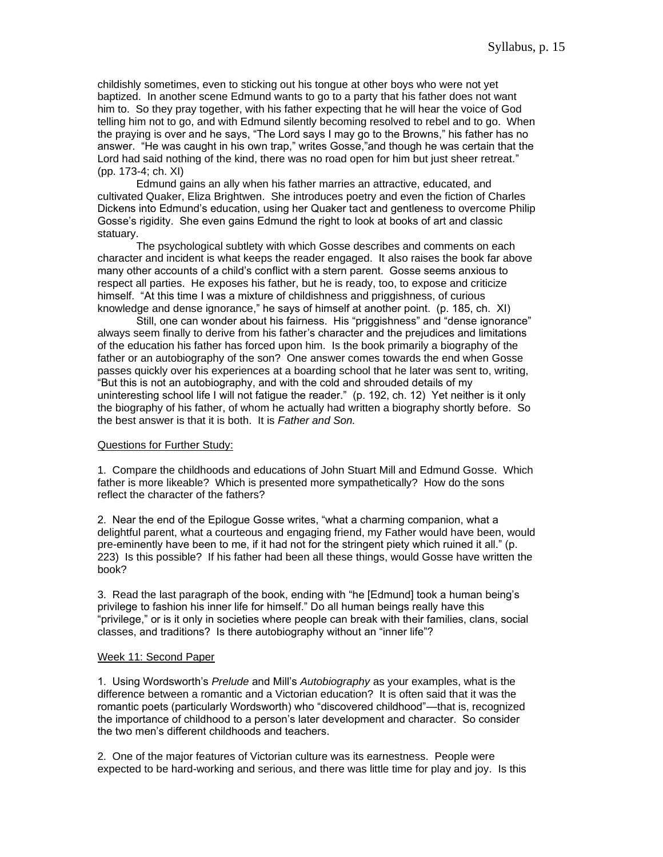childishly sometimes, even to sticking out his tongue at other boys who were not yet baptized. In another scene Edmund wants to go to a party that his father does not want him to. So they pray together, with his father expecting that he will hear the voice of God telling him not to go, and with Edmund silently becoming resolved to rebel and to go. When the praying is over and he says, "The Lord says I may go to the Browns," his father has no answer. "He was caught in his own trap," writes Gosse,"and though he was certain that the Lord had said nothing of the kind, there was no road open for him but just sheer retreat." (pp. 173-4; ch. XI)

Edmund gains an ally when his father marries an attractive, educated, and cultivated Quaker, Eliza Brightwen. She introduces poetry and even the fiction of Charles Dickens into Edmund's education, using her Quaker tact and gentleness to overcome Philip Gosse's rigidity. She even gains Edmund the right to look at books of art and classic statuary.

The psychological subtlety with which Gosse describes and comments on each character and incident is what keeps the reader engaged. It also raises the book far above many other accounts of a child's conflict with a stern parent. Gosse seems anxious to respect all parties. He exposes his father, but he is ready, too, to expose and criticize himself. "At this time I was a mixture of childishness and priggishness, of curious knowledge and dense ignorance," he says of himself at another point. (p. 185, ch. XI)

Still, one can wonder about his fairness. His "priggishness" and "dense ignorance" always seem finally to derive from his father's character and the prejudices and limitations of the education his father has forced upon him. Is the book primarily a biography of the father or an autobiography of the son? One answer comes towards the end when Gosse passes quickly over his experiences at a boarding school that he later was sent to, writing, "But this is not an autobiography, and with the cold and shrouded details of my uninteresting school life I will not fatigue the reader." (p. 192, ch. 12) Yet neither is it only the biography of his father, of whom he actually had written a biography shortly before. So the best answer is that it is both. It is *Father and Son.*

#### Questions for Further Study:

1. Compare the childhoods and educations of John Stuart Mill and Edmund Gosse. Which father is more likeable? Which is presented more sympathetically? How do the sons reflect the character of the fathers?

2. Near the end of the Epilogue Gosse writes, "what a charming companion, what a delightful parent, what a courteous and engaging friend, my Father would have been, would pre-eminently have been to me, if it had not for the stringent piety which ruined it all." (p. 223) Is this possible? If his father had been all these things, would Gosse have written the book?

3. Read the last paragraph of the book, ending with "he [Edmund] took a human being's privilege to fashion his inner life for himself." Do all human beings really have this "privilege," or is it only in societies where people can break with their families, clans, social classes, and traditions? Is there autobiography without an "inner life"?

#### Week 11: Second Paper

1. Using Wordsworth's *Prelude* and Mill's *Autobiography* as your examples, what is the difference between a romantic and a Victorian education? It is often said that it was the romantic poets (particularly Wordsworth) who "discovered childhood"—that is, recognized the importance of childhood to a person's later development and character. So consider the two men's different childhoods and teachers.

2. One of the major features of Victorian culture was its earnestness. People were expected to be hard-working and serious, and there was little time for play and joy. Is this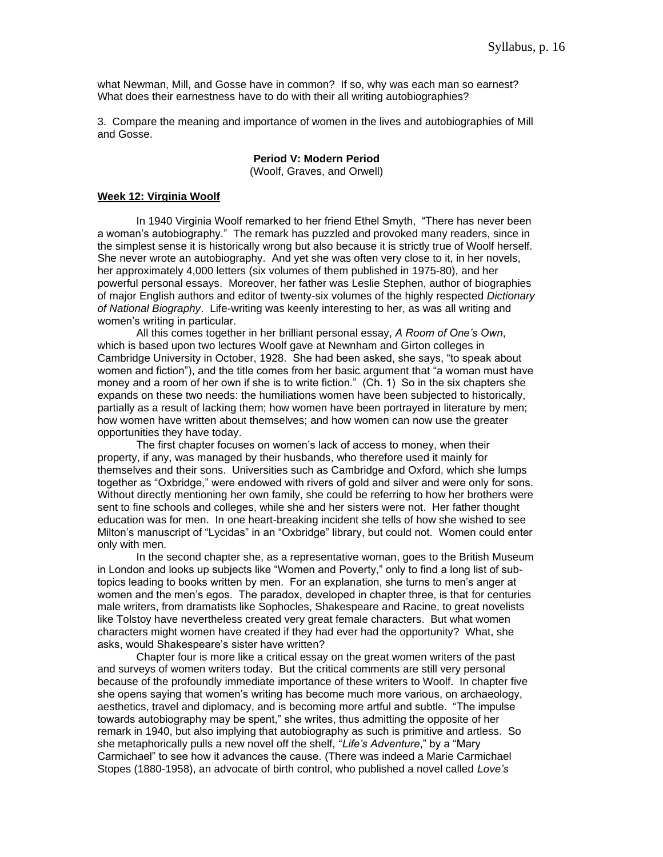what Newman, Mill, and Gosse have in common? If so, why was each man so earnest? What does their earnestness have to do with their all writing autobiographies?

3. Compare the meaning and importance of women in the lives and autobiographies of Mill and Gosse.

#### **Period V: Modern Period** (Woolf, Graves, and Orwell)

#### **Week 12: Virginia Woolf**

In 1940 Virginia Woolf remarked to her friend Ethel Smyth, "There has never been a woman's autobiography." The remark has puzzled and provoked many readers, since in the simplest sense it is historically wrong but also because it is strictly true of Woolf herself. She never wrote an autobiography. And yet she was often very close to it, in her novels, her approximately 4,000 letters (six volumes of them published in 1975-80), and her powerful personal essays. Moreover, her father was Leslie Stephen, author of biographies of major English authors and editor of twenty-six volumes of the highly respected *Dictionary of National Biography*. Life-writing was keenly interesting to her, as was all writing and women's writing in particular.

All this comes together in her brilliant personal essay, *A Room of One's Own*, which is based upon two lectures Woolf gave at Newnham and Girton colleges in Cambridge University in October, 1928. She had been asked, she says, "to speak about women and fiction"), and the title comes from her basic argument that "a woman must have money and a room of her own if she is to write fiction." (Ch. 1) So in the six chapters she expands on these two needs: the humiliations women have been subjected to historically, partially as a result of lacking them; how women have been portrayed in literature by men; how women have written about themselves; and how women can now use the greater opportunities they have today.

The first chapter focuses on women's lack of access to money, when their property, if any, was managed by their husbands, who therefore used it mainly for themselves and their sons. Universities such as Cambridge and Oxford, which she lumps together as "Oxbridge," were endowed with rivers of gold and silver and were only for sons. Without directly mentioning her own family, she could be referring to how her brothers were sent to fine schools and colleges, while she and her sisters were not. Her father thought education was for men. In one heart-breaking incident she tells of how she wished to see Milton's manuscript of "Lycidas" in an "Oxbridge" library, but could not. Women could enter only with men.

In the second chapter she, as a representative woman, goes to the British Museum in London and looks up subjects like "Women and Poverty," only to find a long list of subtopics leading to books written by men. For an explanation, she turns to men's anger at women and the men's egos. The paradox, developed in chapter three, is that for centuries male writers, from dramatists like Sophocles, Shakespeare and Racine, to great novelists like Tolstoy have nevertheless created very great female characters. But what women characters might women have created if they had ever had the opportunity? What, she asks, would Shakespeare's sister have written?

Chapter four is more like a critical essay on the great women writers of the past and surveys of women writers today. But the critical comments are still very personal because of the profoundly immediate importance of these writers to Woolf. In chapter five she opens saying that women's writing has become much more various, on archaeology, aesthetics, travel and diplomacy, and is becoming more artful and subtle. "The impulse towards autobiography may be spent," she writes, thus admitting the opposite of her remark in 1940, but also implying that autobiography as such is primitive and artless. So she metaphorically pulls a new novel off the shelf, "*Life's Adventure*," by a "Mary Carmichael" to see how it advances the cause. (There was indeed a Marie Carmichael Stopes (1880-1958), an advocate of birth control, who published a novel called *Love's*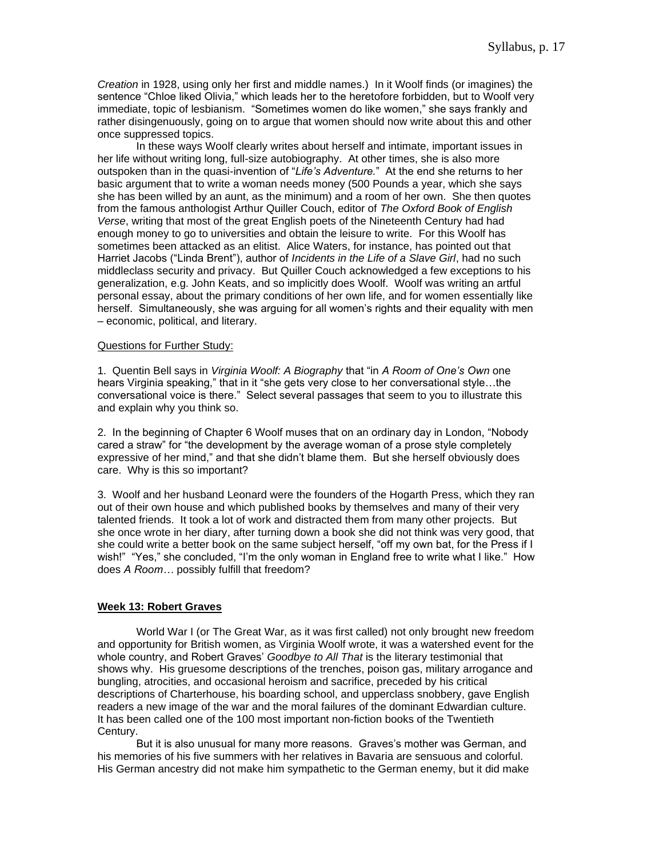*Creation* in 1928, using only her first and middle names.) In it Woolf finds (or imagines) the sentence "Chloe liked Olivia," which leads her to the heretofore forbidden, but to Woolf very immediate, topic of lesbianism. "Sometimes women do like women," she says frankly and rather disingenuously, going on to argue that women should now write about this and other once suppressed topics.

In these ways Woolf clearly writes about herself and intimate, important issues in her life without writing long, full-size autobiography. At other times, she is also more outspoken than in the quasi-invention of "*Life's Adventure.*" At the end she returns to her basic argument that to write a woman needs money (500 Pounds a year, which she says she has been willed by an aunt, as the minimum) and a room of her own. She then quotes from the famous anthologist Arthur Quiller Couch, editor of *The Oxford Book of English Verse*, writing that most of the great English poets of the Nineteenth Century had had enough money to go to universities and obtain the leisure to write. For this Woolf has sometimes been attacked as an elitist. Alice Waters, for instance, has pointed out that Harriet Jacobs ("Linda Brent"), author of *Incidents in the Life of a Slave Girl*, had no such middleclass security and privacy. But Quiller Couch acknowledged a few exceptions to his generalization, e.g. John Keats, and so implicitly does Woolf. Woolf was writing an artful personal essay, about the primary conditions of her own life, and for women essentially like herself. Simultaneously, she was arguing for all women's rights and their equality with men – economic, political, and literary.

#### Questions for Further Study:

1. Quentin Bell says in *Virginia Woolf: A Biography* that "in *A Room of One's Own* one hears Virginia speaking," that in it "she gets very close to her conversational style…the conversational voice is there." Select several passages that seem to you to illustrate this and explain why you think so.

2. In the beginning of Chapter 6 Woolf muses that on an ordinary day in London, "Nobody cared a straw" for "the development by the average woman of a prose style completely expressive of her mind," and that she didn't blame them. But she herself obviously does care. Why is this so important?

3. Woolf and her husband Leonard were the founders of the Hogarth Press, which they ran out of their own house and which published books by themselves and many of their very talented friends. It took a lot of work and distracted them from many other projects. But she once wrote in her diary, after turning down a book she did not think was very good, that she could write a better book on the same subject herself, "off my own bat, for the Press if I wish!" "Yes," she concluded, "I'm the only woman in England free to write what I like." How does *A Room…* possibly fulfill that freedom?

# **Week 13: Robert Graves**

World War I (or The Great War, as it was first called) not only brought new freedom and opportunity for British women, as Virginia Woolf wrote, it was a watershed event for the whole country, and Robert Graves' *Goodbye to All That* is the literary testimonial that shows why. His gruesome descriptions of the trenches, poison gas, military arrogance and bungling, atrocities, and occasional heroism and sacrifice, preceded by his critical descriptions of Charterhouse, his boarding school, and upperclass snobbery, gave English readers a new image of the war and the moral failures of the dominant Edwardian culture. It has been called one of the 100 most important non-fiction books of the Twentieth Century.

But it is also unusual for many more reasons. Graves's mother was German, and his memories of his five summers with her relatives in Bavaria are sensuous and colorful. His German ancestry did not make him sympathetic to the German enemy, but it did make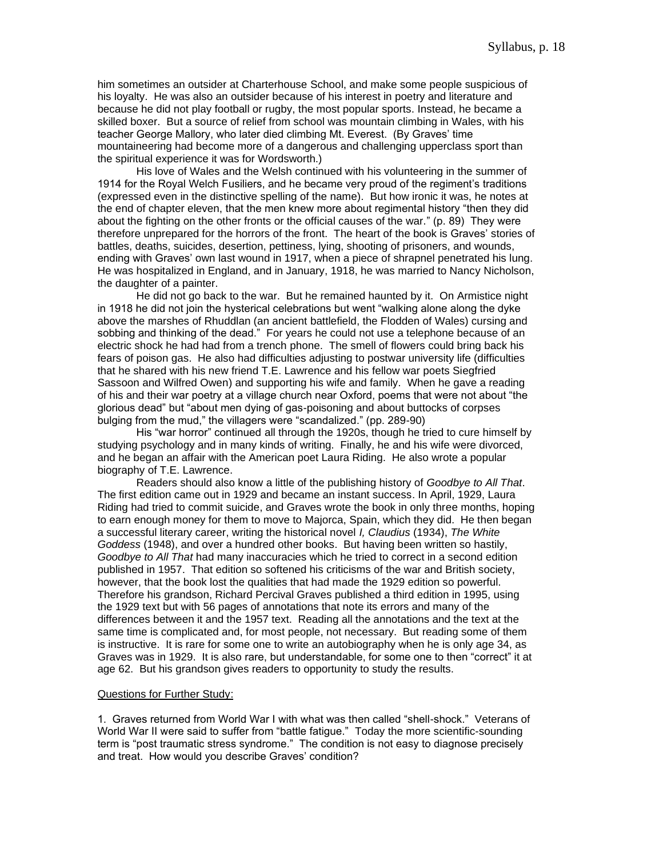him sometimes an outsider at Charterhouse School, and make some people suspicious of his loyalty. He was also an outsider because of his interest in poetry and literature and because he did not play football or rugby, the most popular sports. Instead, he became a skilled boxer. But a source of relief from school was mountain climbing in Wales, with his teacher George Mallory, who later died climbing Mt. Everest. (By Graves' time mountaineering had become more of a dangerous and challenging upperclass sport than the spiritual experience it was for Wordsworth.)

His love of Wales and the Welsh continued with his volunteering in the summer of 1914 for the Royal Welch Fusiliers, and he became very proud of the regiment's traditions (expressed even in the distinctive spelling of the name). But how ironic it was, he notes at the end of chapter eleven, that the men knew more about regimental history "then they did about the fighting on the other fronts or the official causes of the war." (p. 89) They were therefore unprepared for the horrors of the front. The heart of the book is Graves' stories of battles, deaths, suicides, desertion, pettiness, lying, shooting of prisoners, and wounds, ending with Graves' own last wound in 1917, when a piece of shrapnel penetrated his lung. He was hospitalized in England, and in January, 1918, he was married to Nancy Nicholson, the daughter of a painter.

He did not go back to the war. But he remained haunted by it. On Armistice night in 1918 he did not join the hysterical celebrations but went "walking alone along the dyke above the marshes of Rhuddlan (an ancient battlefield, the Flodden of Wales) cursing and sobbing and thinking of the dead." For years he could not use a telephone because of an electric shock he had had from a trench phone. The smell of flowers could bring back his fears of poison gas. He also had difficulties adjusting to postwar university life (difficulties that he shared with his new friend T.E. Lawrence and his fellow war poets Siegfried Sassoon and Wilfred Owen) and supporting his wife and family. When he gave a reading of his and their war poetry at a village church near Oxford, poems that were not about "the glorious dead" but "about men dying of gas-poisoning and about buttocks of corpses bulging from the mud," the villagers were "scandalized." (pp. 289-90)

His "war horror" continued all through the 1920s, though he tried to cure himself by studying psychology and in many kinds of writing. Finally, he and his wife were divorced, and he began an affair with the American poet Laura Riding. He also wrote a popular biography of T.E. Lawrence.

Readers should also know a little of the publishing history of *Goodbye to All That*. The first edition came out in 1929 and became an instant success. In April, 1929, Laura Riding had tried to commit suicide, and Graves wrote the book in only three months, hoping to earn enough money for them to move to Majorca, Spain, which they did. He then began a successful literary career, writing the historical novel *I, Claudius* (1934), *The White Goddess* (1948), and over a hundred other books. But having been written so hastily, *Goodbye to All That* had many inaccuracies which he tried to correct in a second edition published in 1957. That edition so softened his criticisms of the war and British society, however, that the book lost the qualities that had made the 1929 edition so powerful. Therefore his grandson, Richard Percival Graves published a third edition in 1995, using the 1929 text but with 56 pages of annotations that note its errors and many of the differences between it and the 1957 text. Reading all the annotations and the text at the same time is complicated and, for most people, not necessary. But reading some of them is instructive. It is rare for some one to write an autobiography when he is only age 34, as Graves was in 1929. It is also rare, but understandable, for some one to then "correct" it at age 62. But his grandson gives readers to opportunity to study the results.

#### Questions for Further Study:

1. Graves returned from World War I with what was then called "shell-shock." Veterans of World War II were said to suffer from "battle fatigue." Today the more scientific-sounding term is "post traumatic stress syndrome." The condition is not easy to diagnose precisely and treat. How would you describe Graves' condition?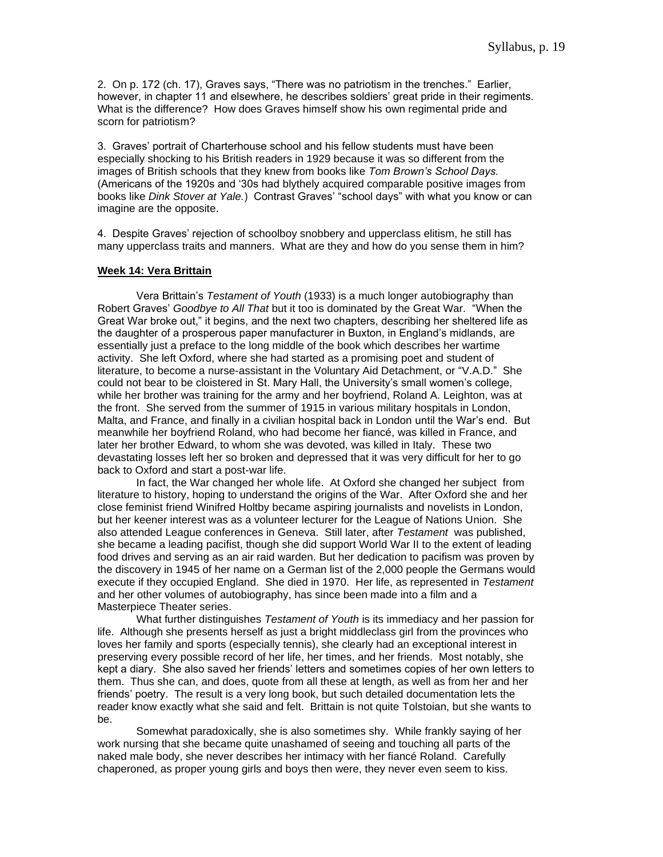2. On p. 172 (ch. 17), Graves says, "There was no patriotism in the trenches." Earlier, however, in chapter 11 and elsewhere, he describes soldiers' great pride in their regiments. What is the difference? How does Graves himself show his own regimental pride and scorn for patriotism?

3. Graves' portrait of Charterhouse school and his fellow students must have been especially shocking to his British readers in 1929 because it was so different from the images of British schools that they knew from books like *Tom Brown's School Days.* (Americans of the 1920s and '30s had blythely acquired comparable positive images from books like *Dink Stover at Yale.*) Contrast Graves' "school days" with what you know or can imagine are the opposite.

4. Despite Graves' rejection of schoolboy snobbery and upperclass elitism, he still has many upperclass traits and manners. What are they and how do you sense them in him?

# **Week 14: Vera Brittain**

Vera Brittain's *Testament of Youth* (1933) is a much longer autobiography than Robert Graves' *Goodbye to All That* but it too is dominated by the Great War. "When the Great War broke out," it begins, and the next two chapters, describing her sheltered life as the daughter of a prosperous paper manufacturer in Buxton, in England's midlands, are essentially just a preface to the long middle of the book which describes her wartime activity. She left Oxford, where she had started as a promising poet and student of literature, to become a nurse-assistant in the Voluntary Aid Detachment, or "V.A.D." She could not bear to be cloistered in St. Mary Hall, the University's small women's college, while her brother was training for the army and her boyfriend, Roland A. Leighton, was at the front. She served from the summer of 1915 in various military hospitals in London, Malta, and France, and finally in a civilian hospital back in London until the War's end. But meanwhile her boyfriend Roland, who had become her fiancé, was killed in France, and later her brother Edward, to whom she was devoted, was killed in Italy. These two devastating losses left her so broken and depressed that it was very difficult for her to go back to Oxford and start a post-war life.

In fact, the War changed her whole life. At Oxford she changed her subject from literature to history, hoping to understand the origins of the War. After Oxford she and her close feminist friend Winifred Holtby became aspiring journalists and novelists in London, but her keener interest was as a volunteer lecturer for the League of Nations Union. She also attended League conferences in Geneva. Still later, after *Testament* was published, she became a leading pacifist, though she did support World War II to the extent of leading food drives and serving as an air raid warden. But her dedication to pacifism was proven by the discovery in 1945 of her name on a German list of the 2,000 people the Germans would execute if they occupied England. She died in 1970. Her life, as represented in *Testament*  and her other volumes of autobiography, has since been made into a film and a Masterpiece Theater series.

What further distinguishes *Testament of Youth* is its immediacy and her passion for life. Although she presents herself as just a bright middleclass girl from the provinces who loves her family and sports (especially tennis), she clearly had an exceptional interest in preserving every possible record of her life, her times, and her friends. Most notably, she kept a diary. She also saved her friends' letters and sometimes copies of her own letters to them. Thus she can, and does, quote from all these at length, as well as from her and her friends' poetry. The result is a very long book, but such detailed documentation lets the reader know exactly what she said and felt. Brittain is not quite Tolstoian, but she wants to be.

Somewhat paradoxically, she is also sometimes shy. While frankly saying of her work nursing that she became quite unashamed of seeing and touching all parts of the naked male body, she never describes her intimacy with her fiancé Roland. Carefully chaperoned, as proper young girls and boys then were, they never even seem to kiss.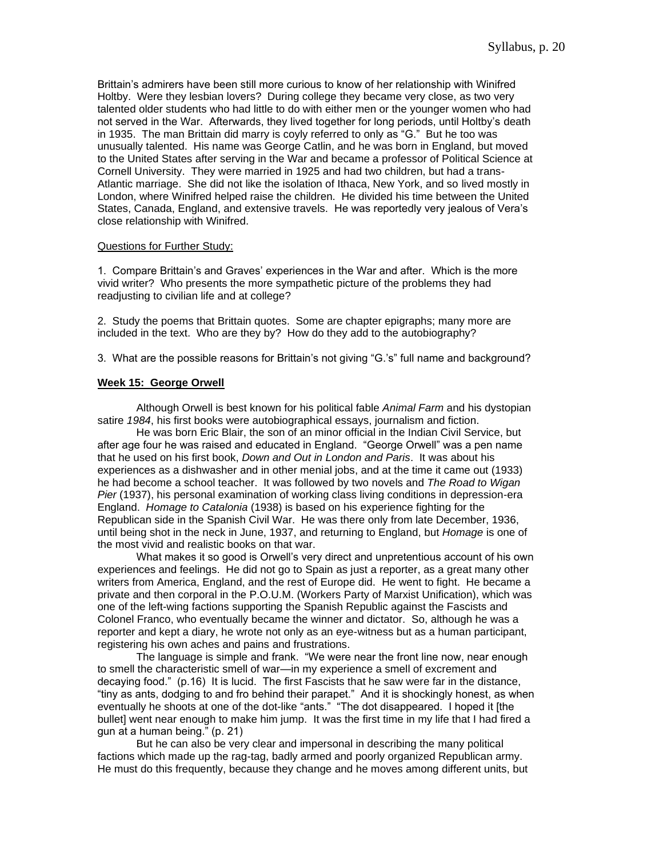Brittain's admirers have been still more curious to know of her relationship with Winifred Holtby. Were they lesbian lovers? During college they became very close, as two very talented older students who had little to do with either men or the younger women who had not served in the War. Afterwards, they lived together for long periods, until Holtby's death in 1935. The man Brittain did marry is coyly referred to only as "G." But he too was unusually talented. His name was George Catlin, and he was born in England, but moved to the United States after serving in the War and became a professor of Political Science at Cornell University. They were married in 1925 and had two children, but had a trans-Atlantic marriage. She did not like the isolation of Ithaca, New York, and so lived mostly in London, where Winifred helped raise the children. He divided his time between the United States, Canada, England, and extensive travels. He was reportedly very jealous of Vera's close relationship with Winifred.

#### Questions for Further Study:

1. Compare Brittain's and Graves' experiences in the War and after. Which is the more vivid writer? Who presents the more sympathetic picture of the problems they had readjusting to civilian life and at college?

2. Study the poems that Brittain quotes. Some are chapter epigraphs; many more are included in the text. Who are they by? How do they add to the autobiography?

3. What are the possible reasons for Brittain's not giving "G.'s" full name and background?

# **Week 15: George Orwell**

Although Orwell is best known for his political fable *Animal Farm* and his dystopian satire *1984*, his first books were autobiographical essays, journalism and fiction.

He was born Eric Blair, the son of an minor official in the Indian Civil Service, but after age four he was raised and educated in England. "George Orwell" was a pen name that he used on his first book, *Down and Out in London and Paris*. It was about his experiences as a dishwasher and in other menial jobs, and at the time it came out (1933) he had become a school teacher. It was followed by two novels and *The Road to Wigan Pier* (1937), his personal examination of working class living conditions in depression-era England. *Homage to Catalonia* (1938) is based on his experience fighting for the Republican side in the Spanish Civil War. He was there only from late December, 1936, until being shot in the neck in June, 1937, and returning to England, but *Homage* is one of the most vivid and realistic books on that war.

What makes it so good is Orwell's very direct and unpretentious account of his own experiences and feelings. He did not go to Spain as just a reporter, as a great many other writers from America, England, and the rest of Europe did. He went to fight. He became a private and then corporal in the P.O.U.M. (Workers Party of Marxist Unification), which was one of the left-wing factions supporting the Spanish Republic against the Fascists and Colonel Franco, who eventually became the winner and dictator. So, although he was a reporter and kept a diary, he wrote not only as an eye-witness but as a human participant, registering his own aches and pains and frustrations.

The language is simple and frank. "We were near the front line now, near enough to smell the characteristic smell of war—in my experience a smell of excrement and decaying food." (p.16) It is lucid. The first Fascists that he saw were far in the distance, "tiny as ants, dodging to and fro behind their parapet." And it is shockingly honest, as when eventually he shoots at one of the dot-like "ants." "The dot disappeared. I hoped it [the bullet] went near enough to make him jump. It was the first time in my life that I had fired a gun at a human being." (p. 21)

But he can also be very clear and impersonal in describing the many political factions which made up the rag-tag, badly armed and poorly organized Republican army. He must do this frequently, because they change and he moves among different units, but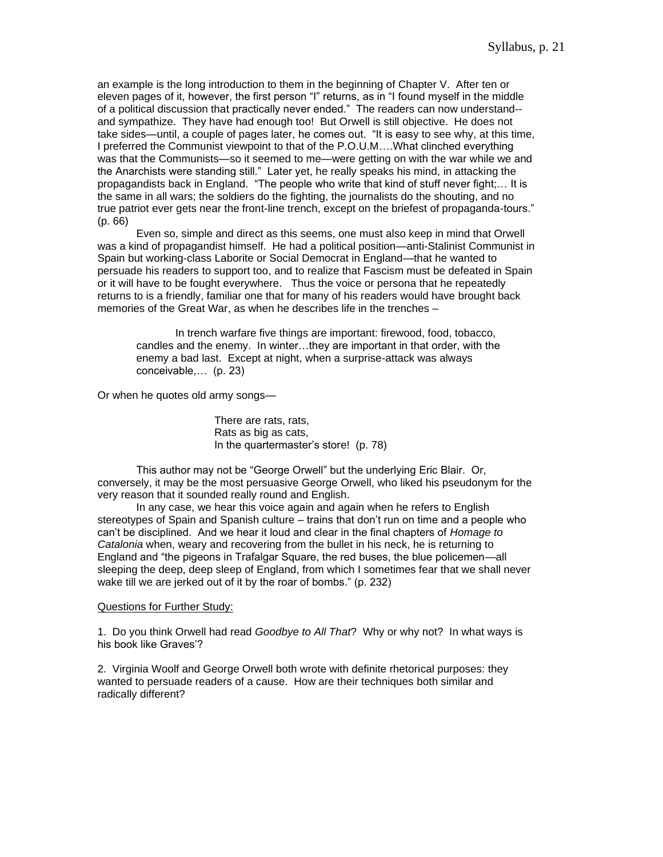an example is the long introduction to them in the beginning of Chapter V. After ten or eleven pages of it, however, the first person "I" returns, as in "I found myself in the middle of a political discussion that practically never ended." The readers can now understand- and sympathize. They have had enough too! But Orwell is still objective. He does not take sides—until, a couple of pages later, he comes out. "It is easy to see why, at this time, I preferred the Communist viewpoint to that of the P.O.U.M….What clinched everything was that the Communists—so it seemed to me—were getting on with the war while we and the Anarchists were standing still." Later yet, he really speaks his mind, in attacking the propagandists back in England. "The people who write that kind of stuff never fight;… It is the same in all wars; the soldiers do the fighting, the journalists do the shouting, and no true patriot ever gets near the front-line trench, except on the briefest of propaganda-tours." (p. 66)

Even so, simple and direct as this seems, one must also keep in mind that Orwell was a kind of propagandist himself. He had a political position—anti-Stalinist Communist in Spain but working-class Laborite or Social Democrat in England—that he wanted to persuade his readers to support too, and to realize that Fascism must be defeated in Spain or it will have to be fought everywhere. Thus the voice or persona that he repeatedly returns to is a friendly, familiar one that for many of his readers would have brought back memories of the Great War, as when he describes life in the trenches –

In trench warfare five things are important: firewood, food, tobacco, candles and the enemy. In winter…they are important in that order, with the enemy a bad last. Except at night, when a surprise-attack was always conceivable,… (p. 23)

Or when he quotes old army songs—

There are rats, rats, Rats as big as cats, In the quartermaster's store! (p. 78)

This author may not be "George Orwell" but the underlying Eric Blair. Or, conversely, it may be the most persuasive George Orwell, who liked his pseudonym for the very reason that it sounded really round and English.

In any case, we hear this voice again and again when he refers to English stereotypes of Spain and Spanish culture – trains that don't run on time and a people who can't be disciplined. And we hear it loud and clear in the final chapters of *Homage to Catalonia* when, weary and recovering from the bullet in his neck, he is returning to England and "the pigeons in Trafalgar Square, the red buses, the blue policemen—all sleeping the deep, deep sleep of England, from which I sometimes fear that we shall never wake till we are jerked out of it by the roar of bombs." (p. 232)

## Questions for Further Study:

1. Do you think Orwell had read *Goodbye to All That*? Why or why not? In what ways is his book like Graves'?

2. Virginia Woolf and George Orwell both wrote with definite rhetorical purposes: they wanted to persuade readers of a cause. How are their techniques both similar and radically different?